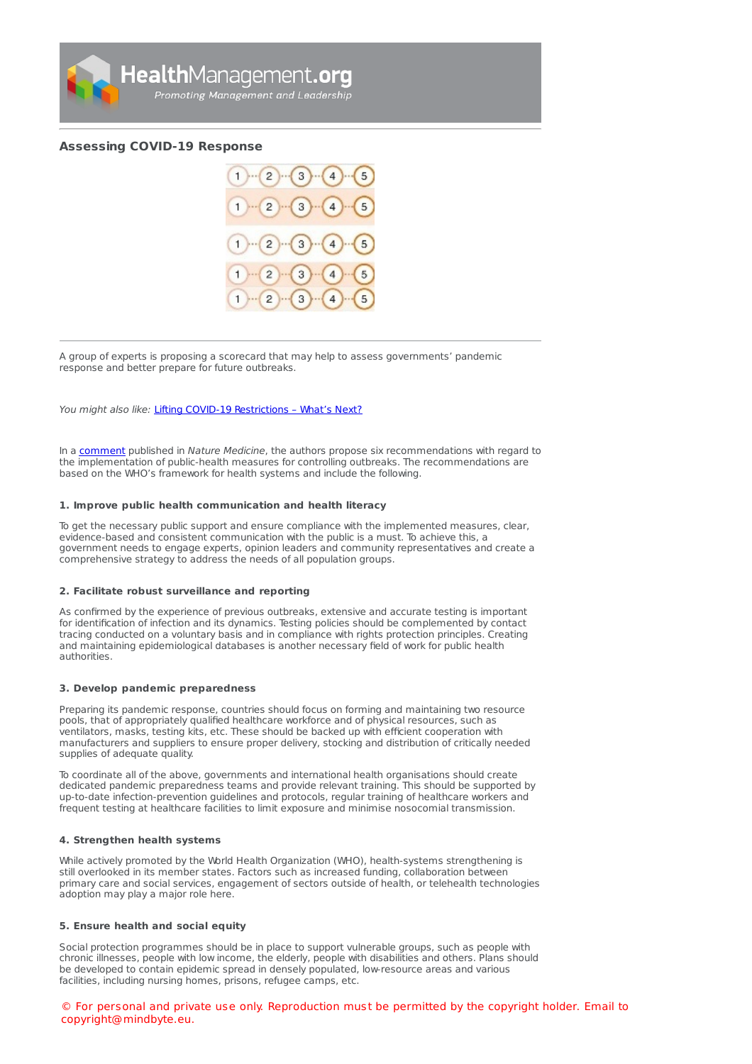

# **[Assessing](https://healthmanagement.org/s/assessing-covid-19-response) COVID-19 Response**



A group of experts is proposing a scorecard that may help to assess governments' pandemic response and better prepare for future outbreaks.

You might also like: Lifting COVID-19 [Restrictions](https://healthmanagement.org/c/hospital/news/lifting-covid-19-restrictions-whats-next) - What's Next?

In a [comment](https://doi.org/10.1038/s41591-020-0950-0) published in Nature Medicine, the authors propose six recommendations with regard to the implementation of public-health measures for controlling outbreaks. The recommendations are based on the WHO's framework for health systems and include the following.

#### **1. Improve public health communication and health literacy**

To get the necessary public support and ensure compliance with the implemented measures, clear, evidence-based and consistent communication with the public is a must. To achieve this, a government needs to engage experts, opinion leaders and community representatives and create a comprehensive strategy to address the needs of all population groups.

# **2. Facilitate robust surveillance and reporting**

As confirmed by the experience of previous outbreaks, extensive and accurate testing is important for identification of infection and its dynamics. Testing policies should be complemented by contact tracing conducted on a voluntary basis and in compliance with rights protection principles. Creating and maintaining epidemiological databases is another necessary field of work for public health authorities.

# **3. Develop pandemic preparedness**

Preparing its pandemic response, countries should focus on forming and maintaining two resource pools, that of appropriately qualified healthcare workforce and of physical resources, such as ventilators, masks, testing kits, etc. These should be backed up with efficient cooperation with manufacturers and suppliers to ensure proper delivery, stocking and distribution of critically needed supplies of adequate quality.

To coordinate all of the above, governments and international health organisations should create dedicated pandemic preparedness teams and provide relevant training. This should be supported by up-to-date infection-prevention guidelines and protocols, regular training of healthcare workers and frequent testing at healthcare facilities to limit exposure and minimise nosocomial transmission.

# **4. Strengthen health systems**

While actively promoted by the World Health Organization (WHO), health-systems strengthening is still overlooked in its member states. Factors such as increased funding, collaboration between primary care and social services, engagement of sectors outside of health, or telehealth technologies adoption may play a major role here.

# **5. Ensure health and social equity**

Social protection programmes should be in place to support vulnerable groups, such as people with chronic illnesses, people with low income, the elderly, people with disabilities and others. Plans should be developed to contain epidemic spread in densely populated, low-resource areas and various facilities, including nursing homes, prisons, refugee camps, etc.

© For personal and private use only. Reproduction must be permitted by the copyright holder. Email to copyright@mindbyte.eu.